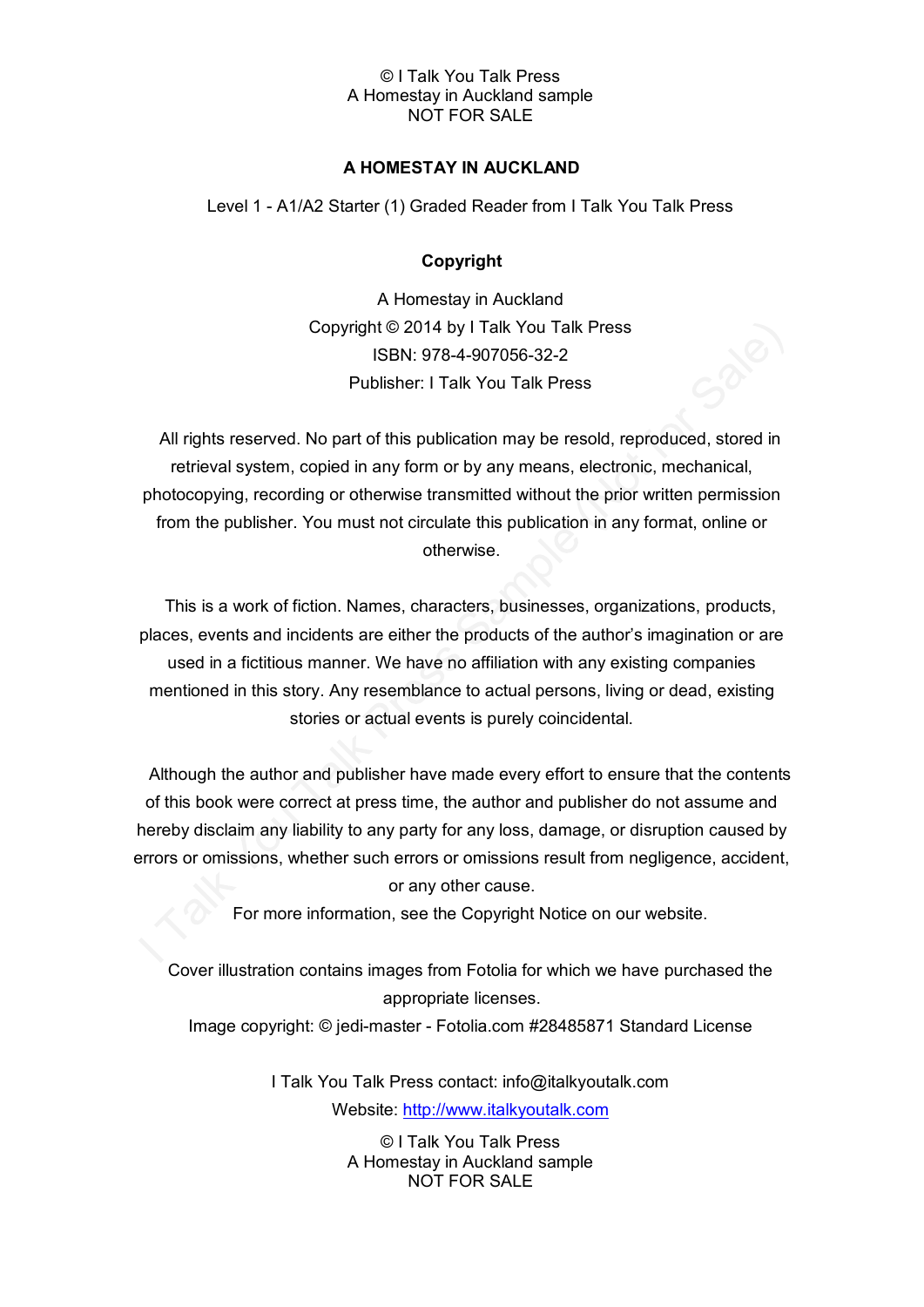# **A HOMESTAY IN AUCKLAND**

Level 1 - A1/A2 Starter (1) Graded Reader from I Talk You Talk Press

## **Copyright**

A Homestay in Auckland Copyright © 2014 by I Talk You Talk Press ISBN: 978-4-907056-32-2 Publisher: I Talk You Talk Press

All rights reserved. No part of this publication may be resold, reproduced, stored in retrieval system, copied in any form or by any means, electronic, mechanical, photocopying, recording or otherwise transmitted without the prior written permission from the publisher. You must not circulate this publication in any format, online or otherwise.

This is a work of fiction. Names, characters, businesses, organizations, products, places, events and incidents are either the products of the author's imagination or are used in a fictitious manner. We have no affiliation with any existing companies mentioned in this story. Any resemblance to actual persons, living or dead, existing stories or actual events is purely coincidental.

Although the author and publisher have made every effort to ensure that the contents of this book were correct at press time, the author and publisher do not assume and hereby disclaim any liability to any party for any loss, damage, or disruption caused by errors or omissions, whether such errors or omissions result from negligence, accident, or any other cause.

For more information, see the Copyright Notice on our website.

Cover illustration contains images from Fotolia for which we have purchased the appropriate licenses.

Image copyright: © jedi-master - Fotolia.com #28485871 Standard License

I Talk You Talk Press contact: info@italkyoutalk.com Website: [http://www.italkyoutalk.com](http://www.italkyoutalk.com/)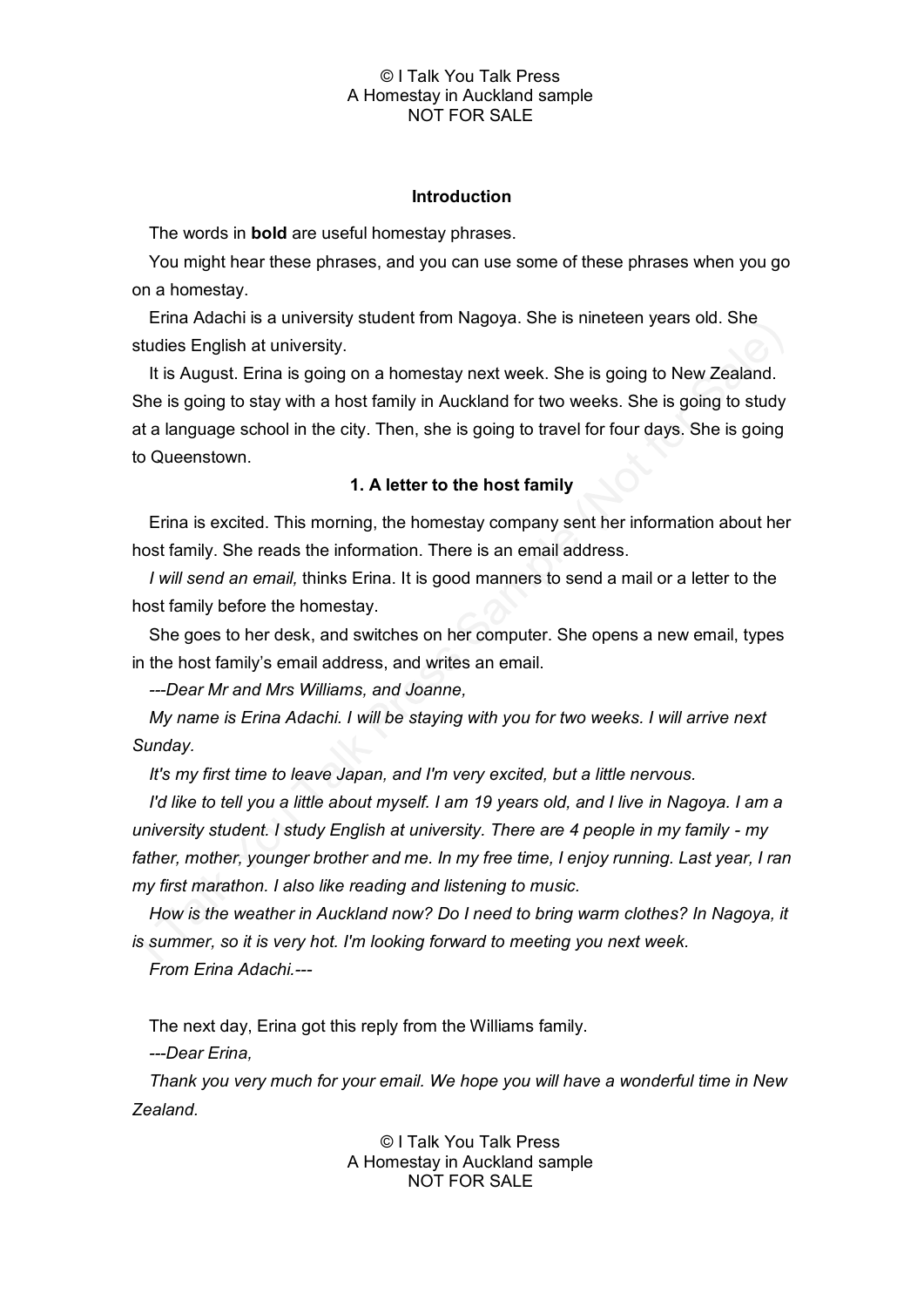## **Introduction**

The words in **bold** are useful homestay phrases.

You might hear these phrases, and you can use some of these phrases when you go on a homestay.

Erina Adachi is a university student from Nagoya. She is nineteen years old. She studies English at university.

It is August. Erina is going on a homestay next week. She is going to New Zealand. She is going to stay with a host family in Auckland for two weeks. She is going to study at a language school in the city. Then, she is going to travel for four days. She is going to Queenstown.

# **1. A letter to the host family**

Erina is excited. This morning, the homestay company sent her information about her host family. She reads the information. There is an email address.

*I will send an email,* thinks Erina. It is good manners to send a mail or a letter to the host family before the homestay.

She goes to her desk, and switches on her computer. She opens a new email, types in the host family's email address, and writes an email.

*---Dear Mr and Mrs Williams, and Joanne,*

*My name is Erina Adachi. I will be staying with you for two weeks. I will arrive next Sunday.* 

*It's my first time to leave Japan, and I'm very excited, but a little nervous.* 

*I'd like to tell you a little about myself. I am 19 years old, and I live in Nagoya. I am a university student. I study English at university. There are 4 people in my family - my father, mother, younger brother and me. In my free time, I enjoy running. Last year, I ran my first marathon. I also like reading and listening to music.*

*How is the weather in Auckland now? Do I need to bring warm clothes? In Nagoya, it is summer, so it is very hot. I'm looking forward to meeting you next week.* 

*From Erina Adachi.---*

The next day, Erina got this reply from the Williams family.

*---Dear Erina,*

*Thank you very much for your email. We hope you will have a wonderful time in New Zealand.*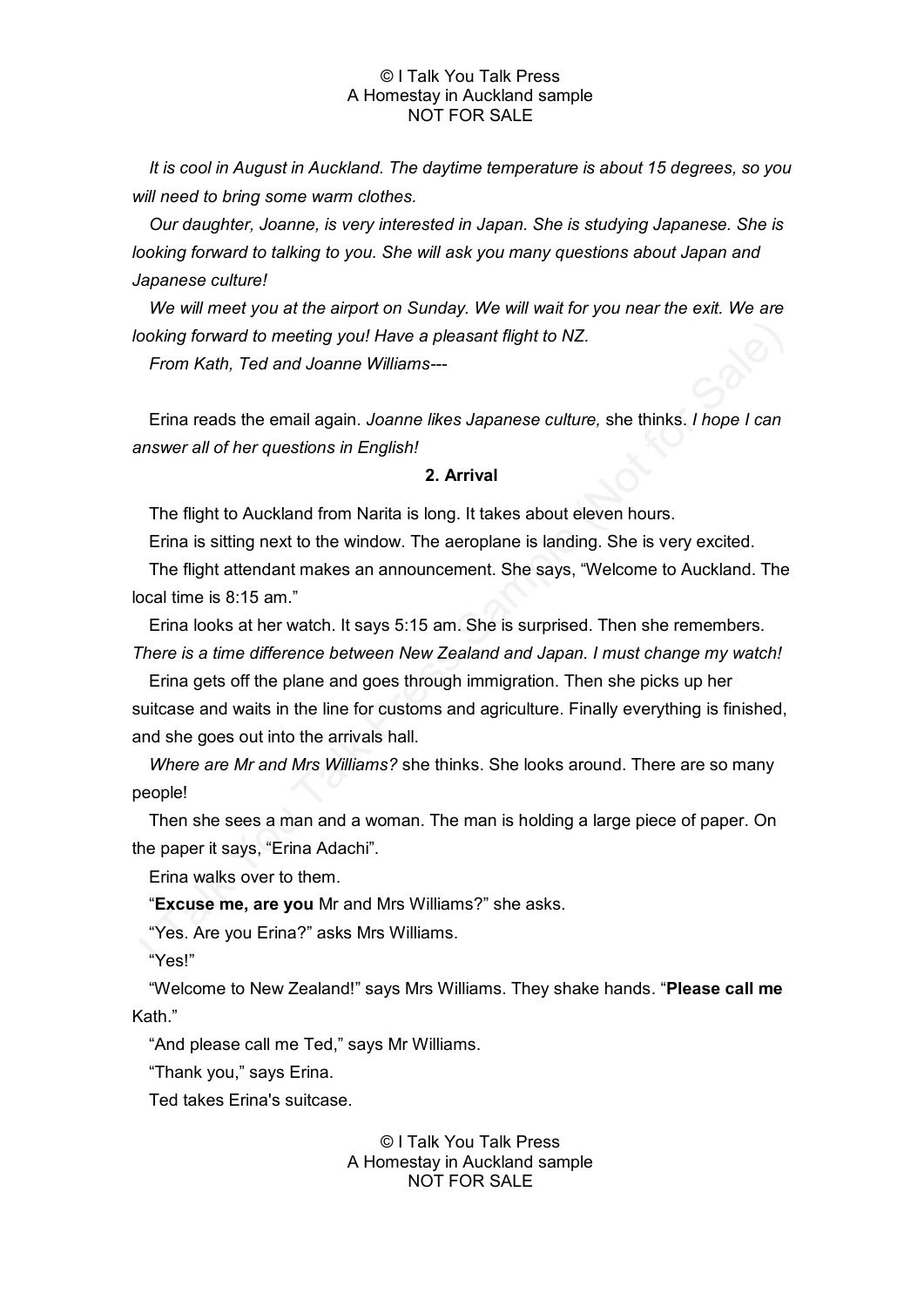*It is cool in August in Auckland. The daytime temperature is about 15 degrees, so you will need to bring some warm clothes.* 

*Our daughter, Joanne, is very interested in Japan. She is studying Japanese. She is looking forward to talking to you. She will ask you many questions about Japan and Japanese culture!*

*We will meet you at the airport on Sunday. We will wait for you near the exit. We are looking forward to meeting you! Have a pleasant flight to NZ.* 

*From Kath, Ted and Joanne Williams---*

Erina reads the email again. *Joanne likes Japanese culture,* she thinks. *I hope I can answer all of her questions in English!*

### **2. Arrival**

The flight to Auckland from Narita is long. It takes about eleven hours.

Erina is sitting next to the window. The aeroplane is landing. She is very excited.

The flight attendant makes an announcement. She says, "Welcome to Auckland. The local time is 8:15 am."

Erina looks at her watch. It says 5:15 am. She is surprised. Then she remembers. *There is a time difference between New Zealand and Japan. I must change my watch!*

Erina gets off the plane and goes through immigration. Then she picks up her suitcase and waits in the line for customs and agriculture. Finally everything is finished, and she goes out into the arrivals hall.

*Where are Mr and Mrs Williams?* she thinks. She looks around. There are so many people!

Then she sees a man and a woman. The man is holding a large piece of paper. On the paper it says, "Erina Adachi".

Erina walks over to them.

"**Excuse me, are you** Mr and Mrs Williams?" she asks.

"Yes. Are you Erina?" asks Mrs Williams.

"Yes!"

"Welcome to New Zealand!" says Mrs Williams. They shake hands. "**Please call me** Kath."

"And please call me Ted," says Mr Williams.

"Thank you," says Erina.

Ted takes Erina's suitcase.